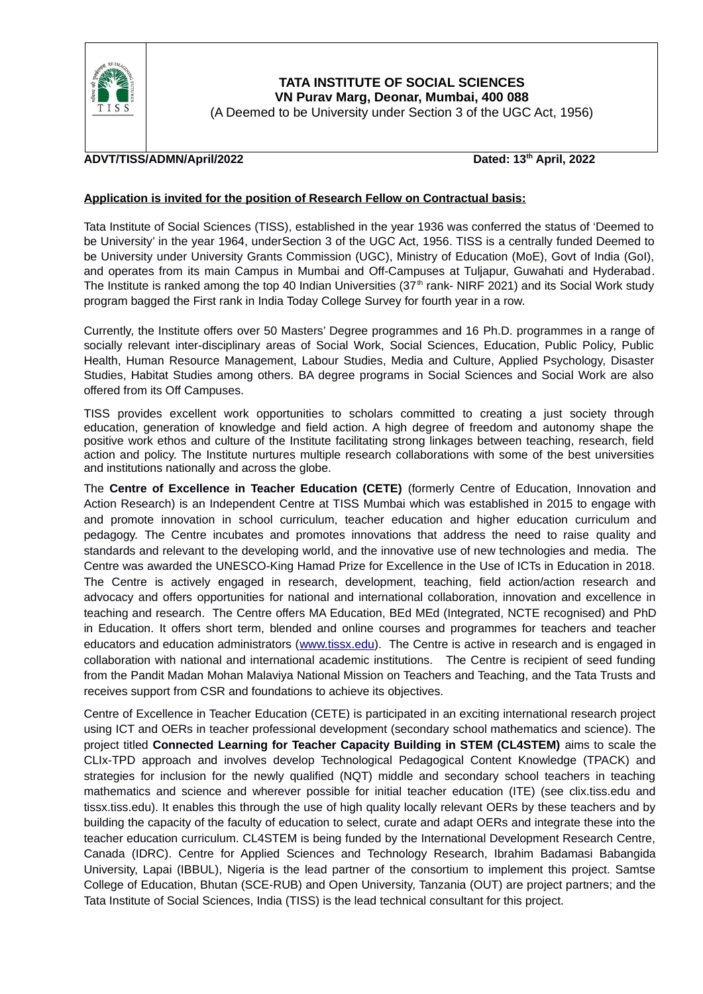

# **TATA INSTITUTE OF SOCIAL SCIENCES VN Purav Marg, Deonar, Mumbai, 400 088**

(A Deemed to be University under Section 3 of the UGC Act, 1956)

## **ADVT/TISS/ADMN/April/2022 Dated: 13th April, 2022**

### **Application is invited for the position of Research Fellow on Contractual basis:**

Tata Institute of Social Sciences (TISS), established in the year 1936 was conferred the status of 'Deemed to be University' in the year 1964, underSection 3 of the UGC Act, 1956. TISS is a centrally funded Deemed to be University under University Grants Commission (UGC), Ministry of Education (MoE), Govt of India (GoI), and operates from its main Campus in Mumbai and Off-Campuses at Tuljapur, Guwahati and Hyderabad. The Institute is ranked among the top 40 Indian Universities  $(37<sup>th</sup>$  rank- NIRF 2021) and its Social Work study program bagged the First rank in India Today College Survey for fourth year in a row.

Currently, the Institute offers over 50 Masters' Degree programmes and 16 Ph.D. programmes in a range of socially relevant inter-disciplinary areas of Social Work, Social Sciences, Education, Public Policy, Public Health, Human Resource Management, Labour Studies, Media and Culture, Applied Psychology, Disaster Studies, Habitat Studies among others. BA degree programs in Social Sciences and Social Work are also offered from its Off Campuses.

TISS provides excellent work opportunities to scholars committed to creating a just society through education, generation of knowledge and field action. A high degree of freedom and autonomy shape the positive work ethos and culture of the Institute facilitating strong linkages between teaching, research, field action and policy. The Institute nurtures multiple research collaborations with some of the best universities and institutions nationally and across the globe.

The **Centre of Excellence in Teacher Education (CETE)** (formerly Centre of Education, Innovation and Action Research) is an Independent Centre at TISS Mumbai which was established in 2015 to engage with and promote innovation in school curriculum, teacher education and higher education curriculum and pedagogy. The Centre incubates and promotes innovations that address the need to raise quality and standards and relevant to the developing world, and the innovative use of new technologies and media. The Centre was awarded the UNESCO-King Hamad Prize for Excellence in the Use of ICTs in Education in 2018. The Centre is actively engaged in research, development, teaching, field action/action research and advocacy and offers opportunities for national and international collaboration, innovation and excellence in teaching and research. The Centre offers MA Education, BEd MEd (Integrated, NCTE recognised) and PhD in Education. It offers short term, blended and online courses and programmes for teachers and teacher educators and education administrators ([www.tissx.edu](http://www.tissx.edu/)). The Centre is active in research and is engaged in collaboration with national and international academic institutions. The Centre is recipient of seed funding from the Pandit Madan Mohan Malaviya National Mission on Teachers and Teaching, and the Tata Trusts and receives support from CSR and foundations to achieve its objectives.

Centre of Excellence in Teacher Education (CETE) is participated in an exciting international research project using ICT and OERs in teacher professional development (secondary school mathematics and science). The project titled **Connected Learning for Teacher Capacity Building in STEM (CL4STEM)** aims to scale the CLIx-TPD approach and involves develop Technological Pedagogical Content Knowledge (TPACK) and strategies for inclusion for the newly qualified (NQT) middle and secondary school teachers in teaching mathematics and science and wherever possible for initial teacher education (ITE) (see clix.tiss.edu and tissx.tiss.edu). It enables this through the use of high quality locally relevant OERs by these teachers and by building the capacity of the faculty of education to select, curate and adapt OERs and integrate these into the teacher education curriculum. CL4STEM is being funded by the International Development Research Centre, Canada (IDRC). Centre for Applied Sciences and Technology Research, Ibrahim Badamasi Babangida University, Lapai (IBBUL), Nigeria is the lead partner of the consortium to implement this project. Samtse College of Education, Bhutan (SCE-RUB) and Open University, Tanzania (OUT) are project partners; and the Tata Institute of Social Sciences, India (TISS) is the lead technical consultant for this project.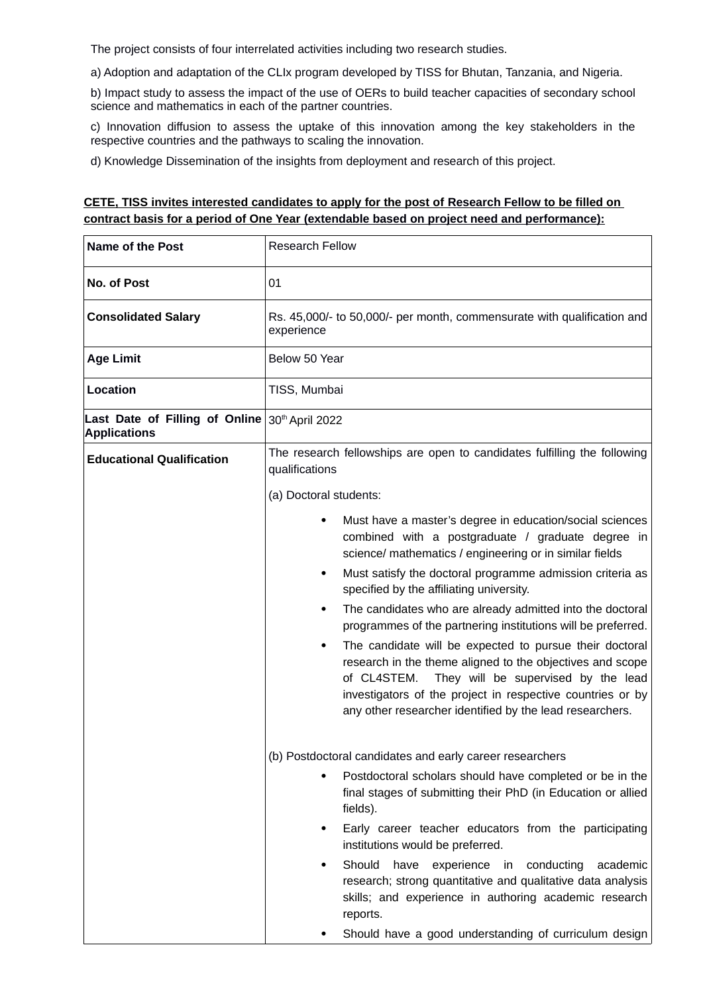The project consists of four interrelated activities including two research studies.

a) Adoption and adaptation of the CLIx program developed by TISS for Bhutan, Tanzania, and Nigeria.

b) Impact study to assess the impact of the use of OERs to build teacher capacities of secondary school science and mathematics in each of the partner countries.

c) Innovation diffusion to assess the uptake of this innovation among the key stakeholders in the respective countries and the pathways to scaling the innovation.

d) Knowledge Dissemination of the insights from deployment and research of this project.

## **CETE, TISS invites interested candidates to apply for the post of Research Fellow to be filled on contract basis for a period of One Year (extendable based on project need and performance):**

| <b>Name of the Post</b>                                               | <b>Research Fellow</b>                                                                                                                                                                                                                                                                                                                                                                                                                                                                                        |
|-----------------------------------------------------------------------|---------------------------------------------------------------------------------------------------------------------------------------------------------------------------------------------------------------------------------------------------------------------------------------------------------------------------------------------------------------------------------------------------------------------------------------------------------------------------------------------------------------|
| <b>No. of Post</b>                                                    | 01                                                                                                                                                                                                                                                                                                                                                                                                                                                                                                            |
| <b>Consolidated Salary</b>                                            | Rs. 45,000/- to 50,000/- per month, commensurate with qualification and<br>experience                                                                                                                                                                                                                                                                                                                                                                                                                         |
| <b>Age Limit</b>                                                      | Below 50 Year                                                                                                                                                                                                                                                                                                                                                                                                                                                                                                 |
| Location                                                              | TISS, Mumbai                                                                                                                                                                                                                                                                                                                                                                                                                                                                                                  |
| Last Date of Filling of Online 30th April 2022<br><b>Applications</b> |                                                                                                                                                                                                                                                                                                                                                                                                                                                                                                               |
| <b>Educational Qualification</b>                                      | The research fellowships are open to candidates fulfilling the following<br>qualifications                                                                                                                                                                                                                                                                                                                                                                                                                    |
|                                                                       | (a) Doctoral students:                                                                                                                                                                                                                                                                                                                                                                                                                                                                                        |
|                                                                       | Must have a master's degree in education/social sciences<br>$\bullet$<br>combined with a postgraduate / graduate degree in<br>science/ mathematics / engineering or in similar fields<br>Must satisfy the doctoral programme admission criteria as<br>٠<br>specified by the affiliating university.<br>The candidates who are already admitted into the doctoral<br>$\bullet$<br>programmes of the partnering institutions will be preferred.<br>The candidate will be expected to pursue their doctoral<br>٠ |
|                                                                       | research in the theme aligned to the objectives and scope<br>They will be supervised by the lead<br>of CL4STEM.<br>investigators of the project in respective countries or by<br>any other researcher identified by the lead researchers.                                                                                                                                                                                                                                                                     |
|                                                                       | (b) Postdoctoral candidates and early career researchers                                                                                                                                                                                                                                                                                                                                                                                                                                                      |
|                                                                       | Postdoctoral scholars should have completed or be in the<br>final stages of submitting their PhD (in Education or allied<br>fields).                                                                                                                                                                                                                                                                                                                                                                          |
|                                                                       | Early career teacher educators from the participating<br>٠<br>institutions would be preferred.                                                                                                                                                                                                                                                                                                                                                                                                                |
|                                                                       | Should<br>have<br>experience<br>in<br>conducting<br>academic<br>٠<br>research; strong quantitative and qualitative data analysis<br>skills; and experience in authoring academic research<br>reports.                                                                                                                                                                                                                                                                                                         |
|                                                                       | Should have a good understanding of curriculum design                                                                                                                                                                                                                                                                                                                                                                                                                                                         |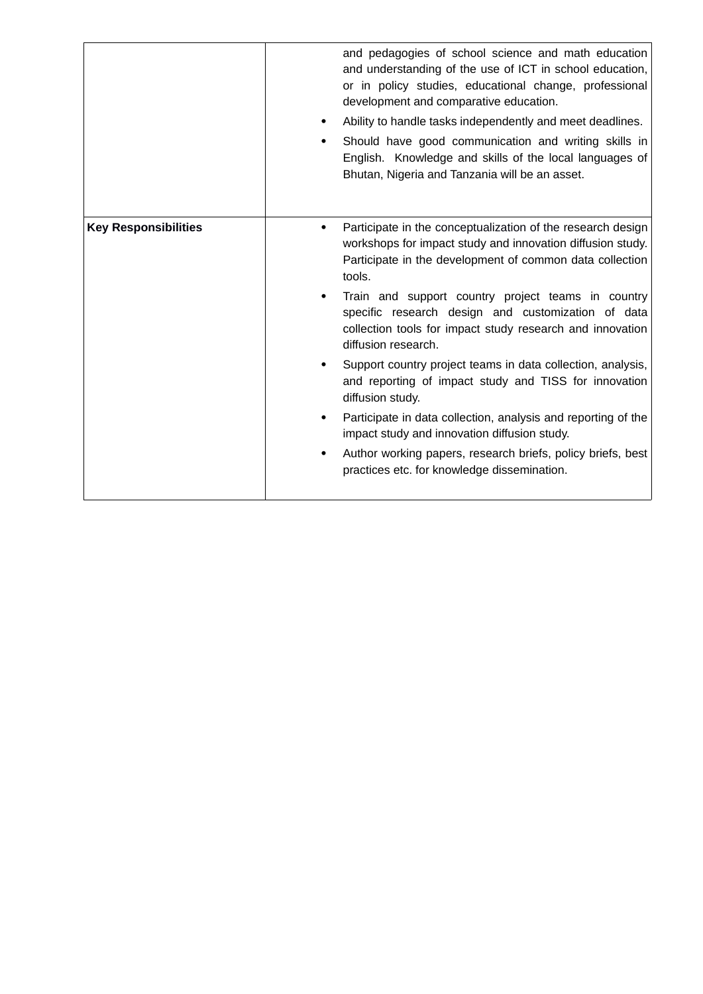|                             | and pedagogies of school science and math education<br>and understanding of the use of ICT in school education,<br>or in policy studies, educational change, professional<br>development and comparative education.<br>Ability to handle tasks independently and meet deadlines.<br>Should have good communication and writing skills in<br>English. Knowledge and skills of the local languages of<br>Bhutan, Nigeria and Tanzania will be an asset.                                                                                                                                                                                                                                                                                                                                        |
|-----------------------------|----------------------------------------------------------------------------------------------------------------------------------------------------------------------------------------------------------------------------------------------------------------------------------------------------------------------------------------------------------------------------------------------------------------------------------------------------------------------------------------------------------------------------------------------------------------------------------------------------------------------------------------------------------------------------------------------------------------------------------------------------------------------------------------------|
| <b>Key Responsibilities</b> | Participate in the conceptualization of the research design<br>workshops for impact study and innovation diffusion study.<br>Participate in the development of common data collection<br>tools.<br>Train and support country project teams in country<br>$\bullet$<br>specific research design and customization of data<br>collection tools for impact study research and innovation<br>diffusion research.<br>Support country project teams in data collection, analysis,<br>and reporting of impact study and TISS for innovation<br>diffusion study.<br>Participate in data collection, analysis and reporting of the<br>٠<br>impact study and innovation diffusion study.<br>Author working papers, research briefs, policy briefs, best<br>practices etc. for knowledge dissemination. |